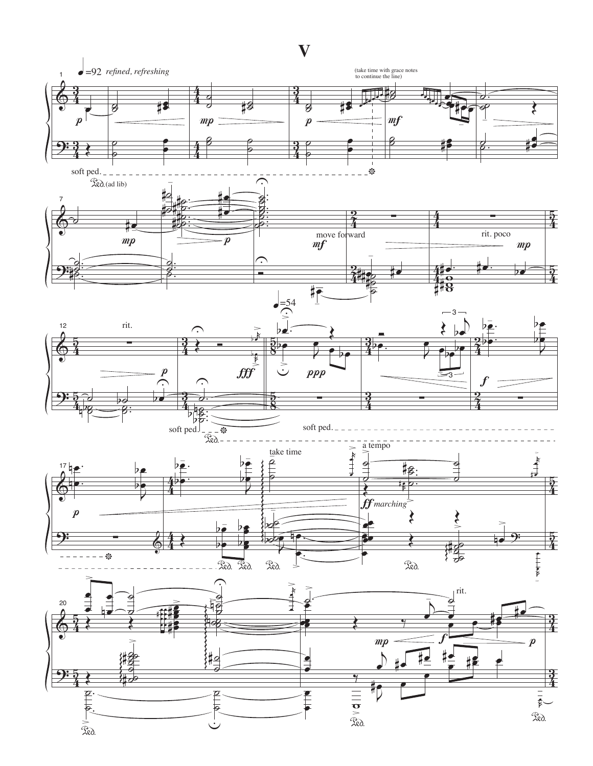